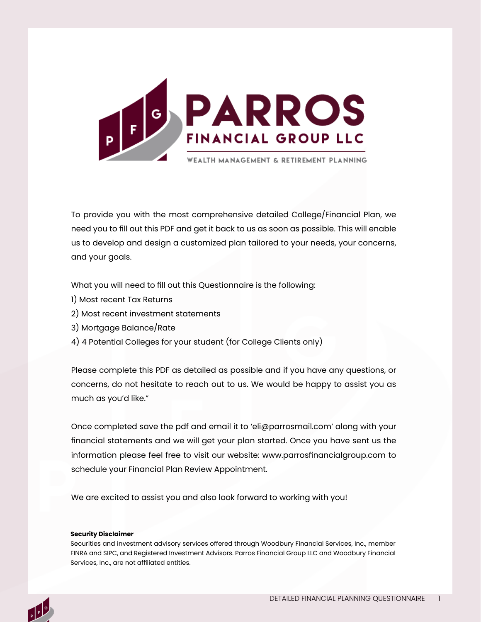

To provide you with the most comprehensive detailed College/Financial Plan, we need you to fill out this PDF and get it back to us as soon as possible. This will enable us to develop and design a customized plan tailored to your needs, your concerns, and your goals.

What you will need to fill out this Questionnaire is the following:

- 1) Most recent Tax Returns
- 2) Most recent investment statements
- 3) Mortgage Balance/Rate
- 4) 4 Potential Colleges for your student (for College Clients only)

Please complete this PDF as detailed as possible and if you have any questions, or concerns, do not hesitate to reach out to us. We would be happy to assist you as much as you'd like."

Once completed save the pdf and email it to 'eli@parrosmail.com' along with your financial statements and we will get your plan started. Once you have sent us the information please feel free to visit our website: www.parrosfinancialgroup.com to schedule your Financial Plan Review Appointment.

We are excited to assist you and also look forward to working with you!

#### **Security Disclaimer**

Securities and investment advisory services offered through Woodbury Financial Services, Inc., member FINRA and SIPC, and Registered Investment Advisors. Parros Financial Group LLC and Woodbury Financial Services, Inc., are not affiliated entities.

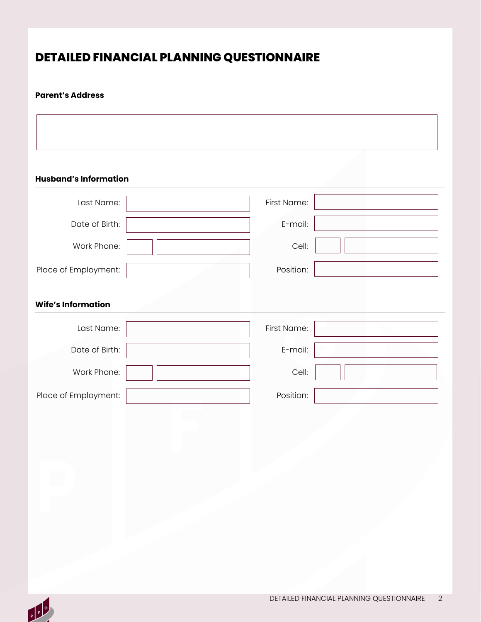# **DETAILED FINANCIAL PLANNING QUESTIONNAIRE**

### **Parent's Address**

**Husband's Information**

| Last Name:                | First Name: |  |
|---------------------------|-------------|--|
| Date of Birth:            | E-mail:     |  |
| Work Phone:               | Cell:       |  |
| Place of Employment:      | Position:   |  |
| <b>Wife's Information</b> |             |  |
| Last Name:                | First Name: |  |
| Date of Birth:            | E-mail:     |  |
| Work Phone:               | Cell:       |  |
| Place of Employment:      | Position:   |  |

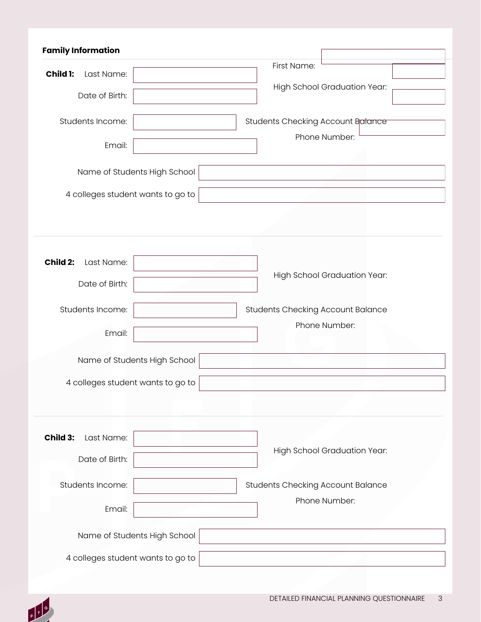| <b>Family Information</b>         |                                   |                                                           |  |
|-----------------------------------|-----------------------------------|-----------------------------------------------------------|--|
| Child 1:<br>Last Name:            |                                   | First Name:                                               |  |
| Date of Birth:                    | High School Graduation Year:      |                                                           |  |
|                                   |                                   |                                                           |  |
| Students Income:                  |                                   | Students Checking Account Balance                         |  |
| Email:                            |                                   | Phone Number:                                             |  |
|                                   |                                   |                                                           |  |
|                                   | Name of Students High School      |                                                           |  |
| 4 colleges student wants to go to |                                   |                                                           |  |
|                                   |                                   |                                                           |  |
|                                   |                                   |                                                           |  |
|                                   |                                   |                                                           |  |
| Child 2:<br>Last Name:            |                                   |                                                           |  |
| Date of Birth:                    |                                   | <b>High School Graduation Year:</b>                       |  |
|                                   |                                   |                                                           |  |
| Students Income:                  |                                   | <b>Students Checking Account Balance</b><br>Phone Number: |  |
| Email:                            |                                   |                                                           |  |
|                                   | Name of Students High School      |                                                           |  |
|                                   | 4 colleges student wants to go to |                                                           |  |
|                                   |                                   |                                                           |  |
|                                   |                                   |                                                           |  |
| Child 3:<br>Last Name:            |                                   |                                                           |  |
|                                   |                                   | High School Graduation Year:                              |  |
| Date of Birth:                    |                                   |                                                           |  |
| Students Income:                  |                                   | <b>Students Checking Account Balance</b>                  |  |
| Email:                            |                                   | Phone Number:                                             |  |
|                                   |                                   |                                                           |  |
|                                   |                                   |                                                           |  |
|                                   | Name of Students High School      |                                                           |  |

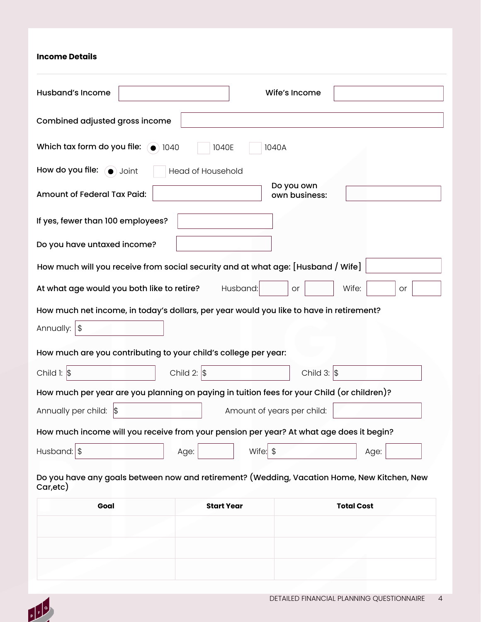#### **Income Details**

| <b>Husband's Income</b>                                                                    | Wife's Income                        |
|--------------------------------------------------------------------------------------------|--------------------------------------|
| Combined adjusted gross income                                                             |                                      |
| Which tax form do you file: $\bigcirc$ 1040<br>1040E                                       | 1040A                                |
| How do you file: (a) Joint<br>Head of Household                                            |                                      |
| Amount of Federal Tax Paid:                                                                | Do you own<br>own business:          |
| If yes, fewer than 100 employees?                                                          |                                      |
| Do you have untaxed income?                                                                |                                      |
| How much will you receive from social security and at what age: [Husband / Wife]           |                                      |
| At what age would you both like to retire?                                                 | Husband:<br>Wife:<br>or<br><b>or</b> |
| How much net income, in today's dollars, per year would you like to have in retirement?    |                                      |
| Annually: $ $ \$                                                                           |                                      |
| How much are you contributing to your child's college per year:                            |                                      |
| Child 2: $\vert \$$<br>Child $\vert$ : $\vert$ \$                                          | Child 3: $\vert \$$                  |
| How much per year are you planning on paying in tuition fees for your Child (or children)? |                                      |
| Annually per child: \$                                                                     | Amount of years per child:           |
|                                                                                            |                                      |
| How much income will you receive from your pension per year? At what age does it begin?    |                                      |

| Goal | <b>Start Year</b> | <b>Total Cost</b> |
|------|-------------------|-------------------|
|      |                   |                   |
|      |                   |                   |
|      |                   |                   |
|      |                   |                   |

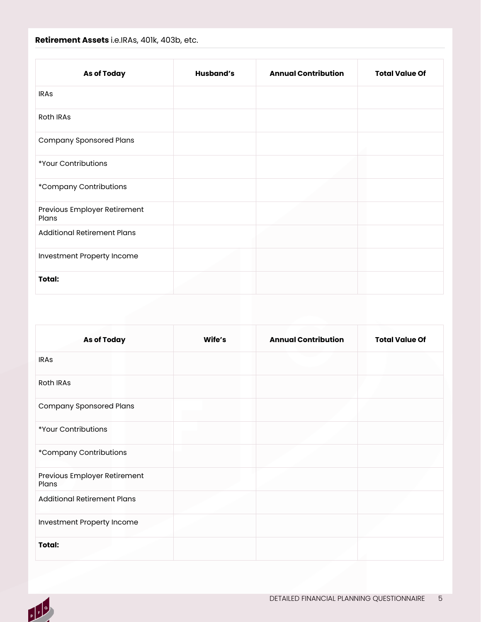## **Retirement Assets** i.e.IRAs, 401k, 403b, etc.

| <b>As of Today</b>                    | <b>Husband's</b> | <b>Annual Contribution</b> | <b>Total Value Of</b> |
|---------------------------------------|------------------|----------------------------|-----------------------|
| <b>IRAS</b>                           |                  |                            |                       |
| Roth IRAs                             |                  |                            |                       |
| <b>Company Sponsored Plans</b>        |                  |                            |                       |
| *Your Contributions                   |                  |                            |                       |
| *Company Contributions                |                  |                            |                       |
| Previous Employer Retirement<br>Plans |                  |                            |                       |
| <b>Additional Retirement Plans</b>    |                  |                            |                       |
| Investment Property Income            |                  |                            |                       |
| Total:                                |                  |                            |                       |

| <b>As of Today</b>                    | Wife's | <b>Annual Contribution</b> | <b>Total Value Of</b> |
|---------------------------------------|--------|----------------------------|-----------------------|
| <b>IRAs</b>                           |        |                            |                       |
| <b>Roth IRAs</b>                      |        |                            |                       |
| <b>Company Sponsored Plans</b>        |        |                            |                       |
| *Your Contributions                   |        |                            |                       |
| *Company Contributions                |        |                            |                       |
| Previous Employer Retirement<br>Plans |        |                            |                       |
| <b>Additional Retirement Plans</b>    |        |                            |                       |
| Investment Property Income            |        |                            |                       |
| Total:                                |        |                            |                       |

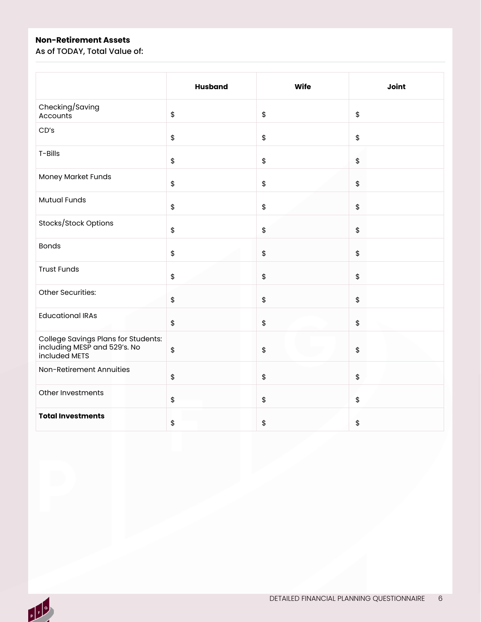## **Non-Retirement Assets**

As of TODAY, Total Value of:

|                                                                                      | <b>Husband</b>                            | <b>Wife</b> | Joint |
|--------------------------------------------------------------------------------------|-------------------------------------------|-------------|-------|
| Checking/Saving<br>Accounts                                                          | \$                                        | \$          | \$    |
| CD's                                                                                 | \$                                        | \$          | \$    |
| T-Bills                                                                              | \$                                        | \$          | \$    |
| <b>Money Market Funds</b>                                                            | $\,$                                      | \$          | \$    |
| <b>Mutual Funds</b>                                                                  | \$                                        | \$          | \$    |
| Stocks/Stock Options                                                                 | $\,$                                      | \$          | \$    |
| <b>Bonds</b>                                                                         | $\,$                                      | \$          | \$    |
| <b>Trust Funds</b>                                                                   | $\,$                                      | \$          | \$    |
| Other Securities:                                                                    | \$                                        | \$          | \$    |
| <b>Educational IRAs</b>                                                              | \$                                        | \$          | $\,$  |
| College Savings Plans for Students:<br>including MESP and 529's. No<br>included METS | $\, \, \raisebox{12pt}{$\scriptstyle \$}$ | \$          | \$    |
| Non-Retirement Annuities                                                             | \$                                        | \$          | \$    |
| Other Investments                                                                    | $\,$                                      | \$          | \$    |
| <b>Total Investments</b>                                                             | \$                                        | \$          | \$    |